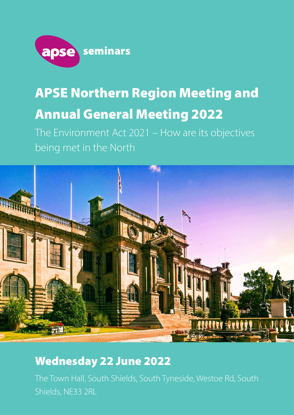

## APSE Northern Region Meeting and Annual General Meeting 2022

The Environment Act 2021 – How are its objectives being met in the North



## Wednesday 22 June 2022

The Town Hall, South Shields, South Tyneside, Westoe Rd, South Shields, NE33 2RL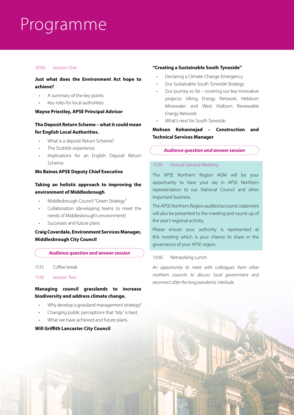## Programme

#### 10:00 Session One

#### **Just what does the Environment Act hope to achieve?**

- A summary of the key points
- Key roles for local authorities

#### **Wayne Priestley, APSE Principal Advisor**

#### **The Deposit Return Scheme – what it could mean for English Local Authorities.**

- What is a deposit Return Scheme?
- The Scottish experience.
- Implications for an English Deposit Return Scheme

#### **Mo Baines APSE Deputy Chief Executive**

#### **Taking an holistic approach to improving the environment of Middlesbrough**

- Middlesbrough Council "Green Strategy"
- Collaboration (developing teams to meet the needs of Middlesbrough's environment)
- Successes and future plans

#### **Craig Coverdale, Environment Services Manager, Middlesbrough City Council**

#### *Audience question and answer session*

- 11:15 Coffee break
- 11:45 Session Two

#### **Managing council grasslands to increase biodiversity and address climate change.**

- Why develop a grassland management strategy?
- Changing public perceptions that 'tidy' is best.
- What we have achieved and future plans.

#### **Will Griffith Lancaster City Council**

#### **"Creating a Sustainable South Tyneside"**

- Declaring a Climate Change Emergency
- Our Sustainable South Tyneside Strategy
- Our journey so far covering our key innovative projects: Viking Energy Network, Hebburn Minewater and West Holborn Renewable Energy Network
- What's next for South Tyneside

#### **Mohsen Kohannejad – Construction and Technical Services Manager**

#### *Audience question and answer session*

#### 12:30 Annual General Meeting

The APSE Northern Region AGM will be your opportunity to have your say in APSE Northern representation to our National Council and other important business.

The APSE Northern Region audited accounts statement will also be presented to the meeting and round-up of the year's regional activity.

Please ensure your authority is represented at this meeting which is your chance to share in the governance of your APSE region.

#### 13:00 Networking Lunch

*An opportunity to meet with colleagues from other northern councils to discuss local government and reconnect after the long pandemic interlude.*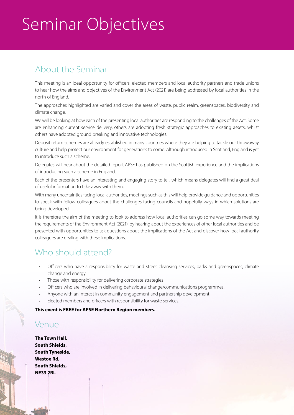# Seminar Objectives

## About the Seminar

This meeting is an ideal opportunity for officers, elected members and local authority partners and trade unions to hear how the aims and objectives of the Environment Act (2021) are being addressed by local authorities in the north of England.

The approaches highlighted are varied and cover the areas of waste, public realm, greenspaces, biodiversity and climate change.

We will be looking at how each of the presenting local authorities are responding to the challenges of the Act. Some are enhancing current service delivery, others are adopting fresh strategic approaches to existing assets, whilst others have adopted ground breaking and innovative technologies.

Deposit return schemes are already established in many countries where they are helping to tackle our throwaway culture and help protect our environment for generations to come. Although introduced in Scotland, England is yet to introduce such a scheme.

Delegates will hear about the detailed report APSE has published on the Scottish experience and the implications of introducing such a scheme in England.

Each of the presenters have an interesting and engaging story to tell, which means delegates will find a great deal of useful information to take away with them.

With many uncertainties facing local authorities, meetings such as this will help provide guidance and opportunities to speak with fellow colleagues about the challenges facing councils and hopefully ways in which solutions are being developed.

It is therefore the aim of the meeting to look to address how local authorities can go some way towards meeting the requirements of the Environment Act (2021), by hearing about the experiences of other local authorities and be presented with opportunities to ask questions about the implications of the Act and discover how local authority colleagues are dealing with these implications.

### Who should attend?

- Officers who have a responsibility for waste and street cleansing services, parks and greenspaces, climate change and energy.
- Those with responsibility for delivering corporate strategies
- Officers who are involved in delivering behavioural change/communications programmes.
- Anyone with an interest in community engagement and partnership development
- Elected members and officers with responsibility for waste services.

**This event is FREE for APSE Northern Region members.**

### Venue

**The Town Hall, South Shields, South Tyneside, Westoe Rd, South Shields, NE33 2RL**